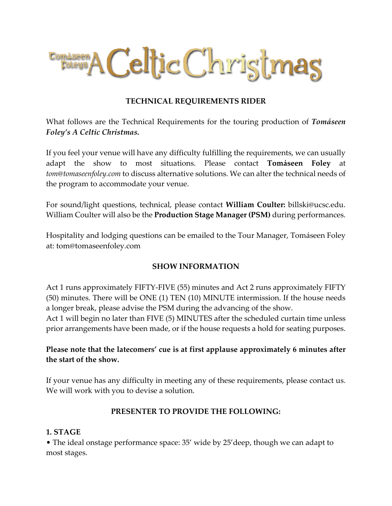

#### **TECHNICAL REQUIREMENTS RIDER**

What follows are the Technical Requirements for the touring production of *Tomáseen Foley's A Celtic Christmas.* 

If you feel your venue will have any difficulty fulfilling the requirements, we can usually adapt the show to most situations. Please contact **Tomáseen Foley** at *tom@tomaseenfoley.com* to discuss alternative solutions. We can alter the technical needs of the program to accommodate your venue.

For sound/light questions, technical, please contact **William Coulter:** billski@ucsc.edu. William Coulter will also be the **Production Stage Manager (PSM)** during performances.

Hospitality and lodging questions can be emailed to the Tour Manager, Tomáseen Foley at: tom@tomaseenfoley.com

#### **SHOW INFORMATION**

Act 1 runs approximately FIFTY-FIVE (55) minutes and Act 2 runs approximately FIFTY (50) minutes. There will be ONE (1) TEN (10) MINUTE intermission. If the house needs a longer break, please advise the PSM during the advancing of the show.

Act 1 will begin no later than FIVE (5) MINUTES after the scheduled curtain time unless prior arrangements have been made, or if the house requests a hold for seating purposes.

## **Please note that the latecomers' cue is at first applause approximately 6 minutes after the start of the show.**

If your venue has any difficulty in meeting any of these requirements, please contact us. We will work with you to devise a solution.

#### **PRESENTER TO PROVIDE THE FOLLOWING:**

#### **1. STAGE**

• The ideal onstage performance space: 35' wide by 25'deep, though we can adapt to most stages.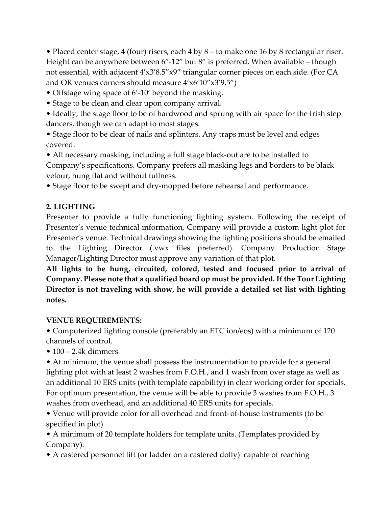• Placed center stage, 4 (four) risers, each 4 by 8 – to make one 16 by 8 rectangular riser. Height can be anywhere between 6"-12" but 8" is preferred. When available – though not essential, with adjacent 4'x3'8.5"x9" triangular corner pieces on each side. (For CA and OR venues corners should measure 4'x6'10"x3'9.5")

- Offstage wing space of 6'-10' beyond the masking.
- Stage to be clean and clear upon company arrival.
- Ideally, the stage floor to be of hardwood and sprung with air space for the Irish step dancers, though we can adapt to most stages.
- Stage floor to be clear of nails and splinters. Any traps must be level and edges covered.

• All necessary masking, including a full stage black-out are to be installed to Company's specifications. Company prefers all masking legs and borders to be black velour, hung flat and without fullness.

• Stage floor to be swept and dry-mopped before rehearsal and performance.

#### **2. LIGHTING**

Presenter to provide a fully functioning lighting system. Following the receipt of Presenter's venue technical information, Company will provide a custom light plot for Presenter's venue. Technical drawings showing the lighting positions should be emailed to the Lighting Director (.vwx files preferred). Company Production Stage Manager/Lighting Director must approve any variation of that plot.

**All lights to be hung, circuited, colored, tested and focused prior to arrival of Company. Please note that a qualified board op must be provided. If the Tour Lighting Director is not traveling with show, he will provide a detailed set list with lighting notes.**

#### **VENUE REQUIREMENTS:**

• Computerized lighting console (preferably an ETC ion/eos) with a minimum of 120 channels of control.

 $\bullet$  100 – 2.4k dimmers

• At minimum, the venue shall possess the instrumentation to provide for a general lighting plot with at least 2 washes from F.O.H., and 1 wash from over stage as well as an additional 10 ERS units (with template capability) in clear working order for specials. For optimum presentation, the venue will be able to provide 3 washes from F.O.H., 3 washes from overhead, and an additional 40 ERS units for specials.

• Venue will provide color for all overhead and front- of-house instruments (to be specified in plot)

• A minimum of 20 template holders for template units. (Templates provided by Company).

• A castered personnel lift (or ladder on a castered dolly) capable of reaching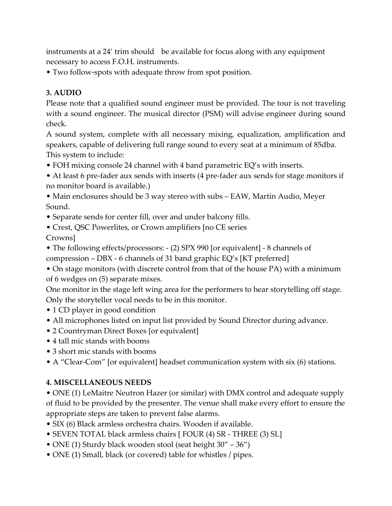instruments at a 24' trim should be available for focus along with any equipment necessary to access F.O.H. instruments.

• Two follow-spots with adequate throw from spot position.

## **3. AUDIO**

Please note that a qualified sound engineer must be provided. The tour is not traveling with a sound engineer. The musical director (PSM) will advise engineer during sound check.

A sound system, complete with all necessary mixing, equalization, amplification and speakers, capable of delivering full range sound to every seat at a minimum of 85dba. This system to include:

- FOH mixing console 24 channel with 4 band parametric EQ's with inserts.
- At least 6 pre-fader aux sends with inserts (4 pre-fader aux sends for stage monitors if no monitor board is available.)

• Main enclosures should be 3 way stereo with subs – EAW, Martin Audio, Meyer Sound.

- Separate sends for center fill, over and under balcony fills.
- Crest, QSC Powerlites, or Crown amplifiers [no CE series

Crowns]

• The following effects/processors: - (2) SPX 990 [or equivalent] - 8 channels of compression – DBX - 6 channels of 31 band graphic EQ's [KT preferred]

• On stage monitors (with discrete control from that of the house PA) with a minimum of 6 wedges on (5) separate mixes.

One monitor in the stage left wing area for the performers to hear storytelling off stage. Only the storyteller vocal needs to be in this monitor.

- 1 CD player in good condition
- All microphones listed on input list provided by Sound Director during advance.
- 2 Countryman Direct Boxes [or equivalent]
- 4 tall mic stands with booms
- 3 short mic stands with booms
- A "Clear-Com" [or equivalent] headset communication system with six (6) stations.

## **4. MISCELLANEOUS NEEDS**

• ONE (1) LeMaitre Neutron Hazer (or similar) with DMX control and adequate supply of fluid to be provided by the presenter. The venue shall make every effort to ensure the appropriate steps are taken to prevent false alarms.

- SIX (6) Black armless orchestra chairs. Wooden if available.
- SEVEN TOTAL black armless chairs [ FOUR (4) SR THREE (3) SL]
- ONE (1) Sturdy black wooden stool (seat height 30" 36")
- ONE (1) Small, black (or covered) table for whistles / pipes.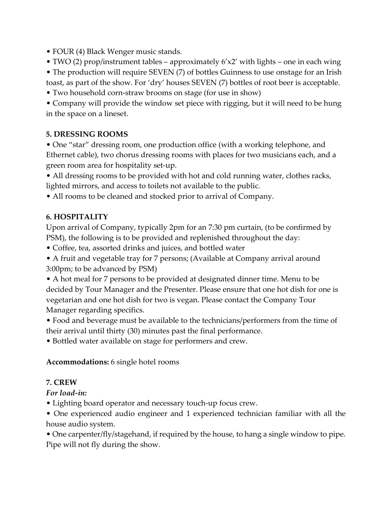• FOUR (4) Black Wenger music stands.

• TWO (2) prop/instrument tables – approximately 6'x2' with lights – one in each wing

- The production will require SEVEN (7) of bottles Guinness to use onstage for an Irish toast, as part of the show. For 'dry' houses SEVEN (7) bottles of root beer is acceptable.
- Two household corn-straw brooms on stage (for use in show)

• Company will provide the window set piece with rigging, but it will need to be hung in the space on a lineset.

## **5. DRESSING ROOMS**

• One "star" dressing room, one production office (with a working telephone, and Ethernet cable), two chorus dressing rooms with places for two musicians each, and a green room area for hospitality set-up.

• All dressing rooms to be provided with hot and cold running water, clothes racks, lighted mirrors, and access to toilets not available to the public.

• All rooms to be cleaned and stocked prior to arrival of Company.

## **6. HOSPITALITY**

Upon arrival of Company, typically 2pm for an 7:30 pm curtain, (to be confirmed by PSM), the following is to be provided and replenished throughout the day:

- Coffee, tea, assorted drinks and juices, and bottled water
- A fruit and vegetable tray for 7 persons; (Available at Company arrival around 3:00pm; to be advanced by PSM)

• A hot meal for 7 persons to be provided at designated dinner time. Menu to be decided by Tour Manager and the Presenter. Please ensure that one hot dish for one is vegetarian and one hot dish for two is vegan. Please contact the Company Tour Manager regarding specifics.

• Food and beverage must be available to the technicians/performers from the time of their arrival until thirty (30) minutes past the final performance.

• Bottled water available on stage for performers and crew.

## **Accommodations:** 6 single hotel rooms

## **7. CREW**

*For load-in:*

• Lighting board operator and necessary touch-up focus crew.

• One experienced audio engineer and 1 experienced technician familiar with all the house audio system.

• One carpenter/fly/stagehand, if required by the house, to hang a single window to pipe. Pipe will not fly during the show.